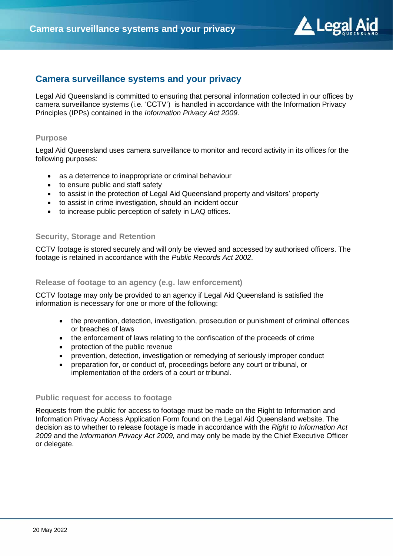

# **Camera surveillance systems and your privacy**

Legal Aid Queensland is committed to ensuring that personal information collected in our offices by camera surveillance systems (i.e. 'CCTV') is handled in accordance with the Information Privacy Principles (IPPs) contained in the *Information Privacy Act 2009*.

#### **Purpose**

Legal Aid Queensland uses camera surveillance to monitor and record activity in its offices for the following purposes:

- as a deterrence to inappropriate or criminal behaviour
- to ensure public and staff safety
- to assist in the protection of Legal Aid Queensland property and visitors' property
- to assist in crime investigation, should an incident occur
- to increase public perception of safety in LAQ offices.

### **Security, Storage and Retention**

CCTV footage is stored securely and will only be viewed and accessed by authorised officers. The footage is retained in accordance with the *Public Records Act 2002*.

### **Release of footage to an agency (e.g. law enforcement)**

CCTV footage may only be provided to an agency if Legal Aid Queensland is satisfied the information is necessary for one or more of the following:

- the prevention, detection, investigation, prosecution or punishment of criminal offences or breaches of laws
- the enforcement of laws relating to the confiscation of the proceeds of crime
- protection of the public revenue
- prevention, detection, investigation or remedying of seriously improper conduct
- preparation for, or conduct of, proceedings before any court or tribunal, or implementation of the orders of a court or tribunal.

#### **Public request for access to footage**

Requests from the public for access to footage must be made on the Right to Information and Information Privacy Access Application Form found on the Legal Aid Queensland website. The decision as to whether to release footage is made in accordance with the *Right to Information Act 2009* and the *Information Privacy Act 2009,* and may only be made by the Chief Executive Officer or delegate.